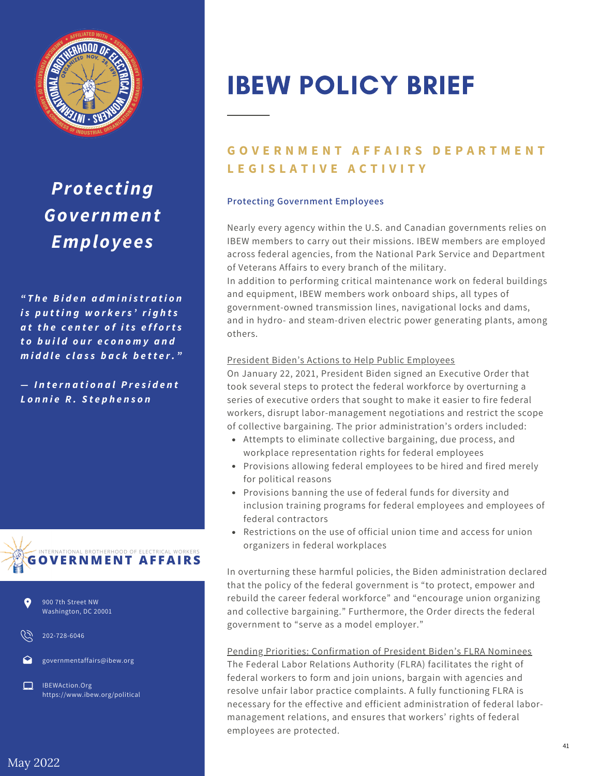

*Protecting Government Employees*

*" T h e B i d e n a d m i n i s tr a t i o n i s p u t t i n g w o r k e r s ' ri g h t s a t t h e c e n t e r o f i t s e f f o rt s t o b u i l d o u r e c o n o m y a n d m i d d l e c l a s s b a c k b e t t e r. "*

*— In t e r n a t i o n a lP r e s i d e n t L o n n ie R . S t e p h e n s o n*





202-728-6046

governmentaffairs@ibew.org

IBEWAction.Org https://www.ibew.org/political

# IBEW POLICY BRIEF

## **GOVERNMENT AFFAIRS DEPARTMENT L E G I S L A T I V E A C T I V I T Y**

## **Protecting Government Employees**

Nearly every agency within the U.S. and Canadian governments relies on IBEW members to carry out their missions. IBEW members are employed across federal agencies, from the National Park Service and Department of Veterans Affairs to every branch of the military.

In addition to performing critical maintenance work on federal buildings and equipment, IBEW members work onboard ships, all types of government-owned transmission lines, navigational locks and dams, and in hydro- and steam-driven electric power generating plants, among others.

#### President Biden's Actions to Help Public Employees

On January 22, 2021, President Biden signed an Executive Order that took several steps to protect the federal workforce by overturning a series of executive orders that sought to make it easier to fire federal workers, disrupt labor-management negotiations and restrict the scope of collective bargaining. The prior administration's orders included:

- Attempts to eliminate collective bargaining, due process, and workplace representation rights for federal employees
- Provisions allowing federal employees to be hired and fired merely for political reasons
- Provisions banning the use of federal funds for diversity and inclusion training programs for federal employees and employees of federal contractors
- Restrictions on the use of official union time and access for union organizers in federal workplaces

In overturning these harmful policies, the Biden administration declared that the policy of the federal government is "to protect, empower and rebuild the career federal workforce" and "encourage union organizing and collective bargaining." Furthermore, the Order directs the federal government to "serve as a model employer."

## Pending Priorities: Confirmation of President Biden's FLRA Nominees

The Federal Labor Relations Authority (FLRA) facilitates the right of federal workers to form and join unions, bargain with agencies and resolve unfair labor practice complaints. A fully functioning FLRA is necessary for the effective and efficient administration of federal labormanagement relations, and ensures that workers' rights of federal employees are protected.